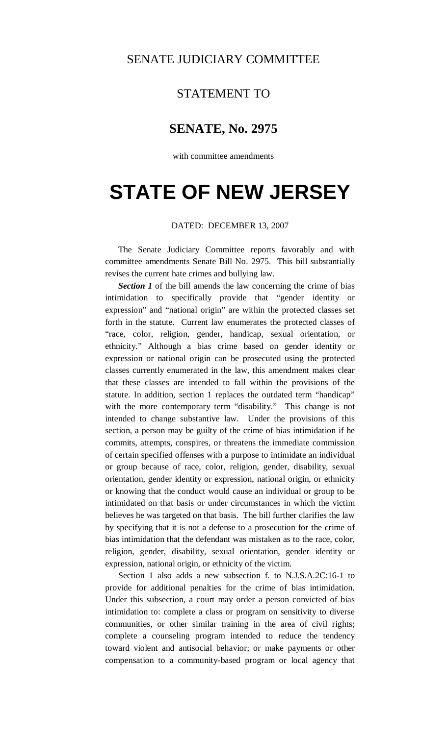## SENATE JUDICIARY COMMITTEE

## STATEMENT TO

## **SENATE, No. 2975**

with committee amendments

## **STATE OF NEW JERSEY**

DATED: DECEMBER 13, 2007

 The Senate Judiciary Committee reports favorably and with committee amendments Senate Bill No. 2975. This bill substantially revises the current hate crimes and bullying law.

**Section 1** of the bill amends the law concerning the crime of bias intimidation to specifically provide that "gender identity or expression" and "national origin" are within the protected classes set forth in the statute. Current law enumerates the protected classes of "race, color, religion, gender, handicap, sexual orientation, or ethnicity." Although a bias crime based on gender identity or expression or national origin can be prosecuted using the protected classes currently enumerated in the law, this amendment makes clear that these classes are intended to fall within the provisions of the statute. In addition, section 1 replaces the outdated term "handicap" with the more contemporary term "disability." This change is not intended to change substantive law. Under the provisions of this section, a person may be guilty of the crime of bias intimidation if he commits, attempts, conspires, or threatens the immediate commission of certain specified offenses with a purpose to intimidate an individual or group because of race, color, religion, gender, disability, sexual orientation, gender identity or expression, national origin, or ethnicity or knowing that the conduct would cause an individual or group to be intimidated on that basis or under circumstances in which the victim believes he was targeted on that basis. The bill further clarifies the law by specifying that it is not a defense to a prosecution for the crime of bias intimidation that the defendant was mistaken as to the race, color, religion, gender, disability, sexual orientation, gender identity or expression, national origin, or ethnicity of the victim.

 Section 1 also adds a new subsection f. to N.J.S.A.2C:16-1 to provide for additional penalties for the crime of bias intimidation. Under this subsection, a court may order a person convicted of bias intimidation to: complete a class or program on sensitivity to diverse communities, or other similar training in the area of civil rights; complete a counseling program intended to reduce the tendency toward violent and antisocial behavior; or make payments or other compensation to a community-based program or local agency that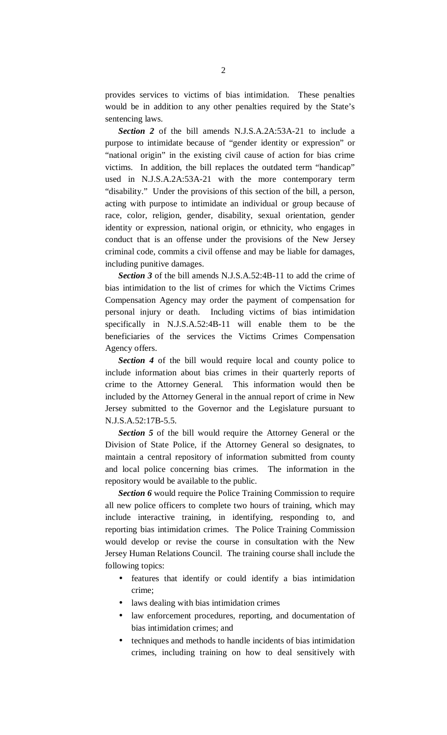provides services to victims of bias intimidation. These penalties would be in addition to any other penalties required by the State's sentencing laws.

*Section 2* of the bill amends N.J.S.A.2A:53A-21 to include a purpose to intimidate because of "gender identity or expression" or "national origin" in the existing civil cause of action for bias crime victims. In addition, the bill replaces the outdated term "handicap" used in N.J.S.A.2A:53A-21 with the more contemporary term "disability." Under the provisions of this section of the bill, a person, acting with purpose to intimidate an individual or group because of race, color, religion, gender, disability, sexual orientation, gender identity or expression, national origin, or ethnicity, who engages in conduct that is an offense under the provisions of the New Jersey criminal code, commits a civil offense and may be liable for damages, including punitive damages.

*Section 3* of the bill amends N.J.S.A.52:4B-11 to add the crime of bias intimidation to the list of crimes for which the Victims Crimes Compensation Agency may order the payment of compensation for personal injury or death. Including victims of bias intimidation specifically in N.J.S.A.52:4B-11 will enable them to be the beneficiaries of the services the Victims Crimes Compensation Agency offers.

*Section 4* of the bill would require local and county police to include information about bias crimes in their quarterly reports of crime to the Attorney General. This information would then be included by the Attorney General in the annual report of crime in New Jersey submitted to the Governor and the Legislature pursuant to N.J.S.A.52:17B-5.5.

*Section 5* of the bill would require the Attorney General or the Division of State Police, if the Attorney General so designates, to maintain a central repository of information submitted from county and local police concerning bias crimes. The information in the repository would be available to the public.

*Section 6* would require the Police Training Commission to require all new police officers to complete two hours of training, which may include interactive training, in identifying, responding to, and reporting bias intimidation crimes. The Police Training Commission would develop or revise the course in consultation with the New Jersey Human Relations Council. The training course shall include the following topics:

- features that identify or could identify a bias intimidation crime;
- laws dealing with bias intimidation crimes
- law enforcement procedures, reporting, and documentation of bias intimidation crimes; and
- techniques and methods to handle incidents of bias intimidation crimes, including training on how to deal sensitively with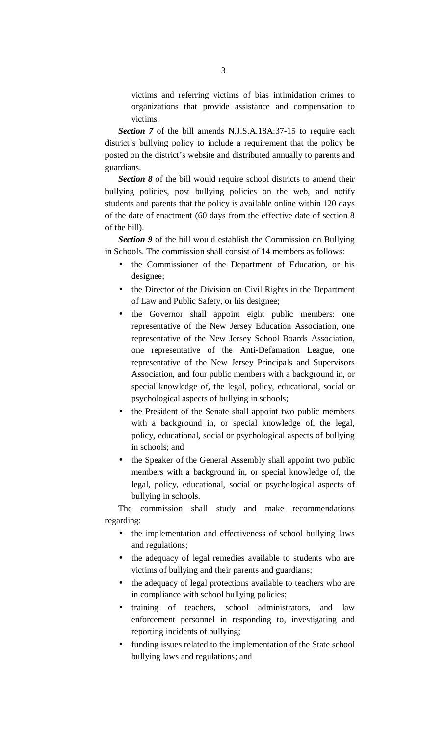victims and referring victims of bias intimidation crimes to organizations that provide assistance and compensation to victims.

*Section 7* of the bill amends N.J.S.A.18A:37-15 to require each district's bullying policy to include a requirement that the policy be posted on the district's website and distributed annually to parents and guardians.

**Section 8** of the bill would require school districts to amend their bullying policies, post bullying policies on the web, and notify students and parents that the policy is available online within 120 days of the date of enactment (60 days from the effective date of section 8 of the bill).

*Section 9* of the bill would establish the Commission on Bullying in Schools. The commission shall consist of 14 members as follows:

- the Commissioner of the Department of Education, or his designee;
- the Director of the Division on Civil Rights in the Department of Law and Public Safety, or his designee;
- the Governor shall appoint eight public members: one representative of the New Jersey Education Association, one representative of the New Jersey School Boards Association, one representative of the Anti-Defamation League, one representative of the New Jersey Principals and Supervisors Association, and four public members with a background in, or special knowledge of, the legal, policy, educational, social or psychological aspects of bullying in schools;
- the President of the Senate shall appoint two public members with a background in, or special knowledge of, the legal, policy, educational, social or psychological aspects of bullying in schools; and
- the Speaker of the General Assembly shall appoint two public members with a background in, or special knowledge of, the legal, policy, educational, social or psychological aspects of bullying in schools.

 The commission shall study and make recommendations regarding:

- the implementation and effectiveness of school bullying laws and regulations;
- the adequacy of legal remedies available to students who are victims of bullying and their parents and guardians;
- the adequacy of legal protections available to teachers who are in compliance with school bullying policies;
- training of teachers, school administrators, and law enforcement personnel in responding to, investigating and reporting incidents of bullying;
- funding issues related to the implementation of the State school bullying laws and regulations; and